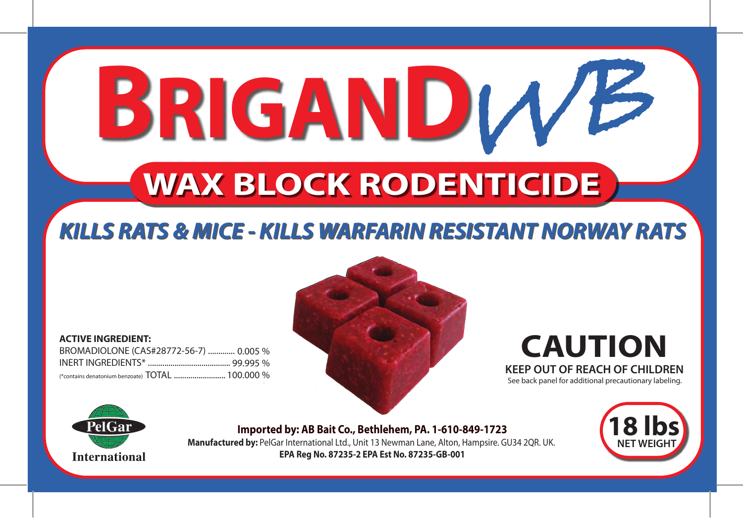# **BRIGANDIVE WAX BLOCK RODENTICIDE**

# *KILLS RATS & MICE - KILLS WARFARIN RESISTANT NORWAY RATS KILLS RATS & MICE - KILLS WARFARIN RESISTANT NORWAY RATS*

**ACTIVE INGREDIENT:** BROMADIOLONE (CAS#28772-56-7) ............. 0.005 % INERT INGREDIENTS\* ........................................ 99.995 % (\*contains denatonium benzoate) TOTAL .........................



**CAUTION KEEP OUT OF REACH OF CHILDREN** See back panel for additional precautionary labeling.



**Imported by: AB Bait Co., Bethlehem, PA. 1-610-849-1723 Manufactured by:** PelGar International Ltd., Unit 13 Newman Lane, Alton, Hampsire. GU34 2QR. UK. **EPA Reg No. 87235-2 EPA Est No. 87235-GB-001**